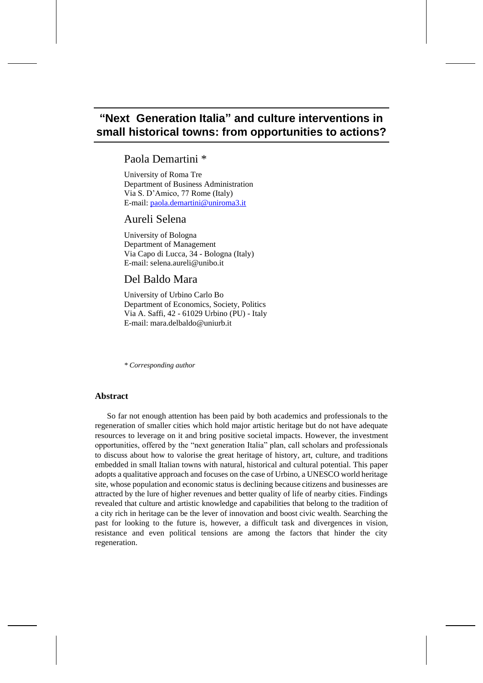# **"Next Generation Italia" and culture interventions in small historical towns: from opportunities to actions?**

## Paola Demartini \*

University of Roma Tre Department of Business Administration Via S. D'Amico, 77 Rome (Italy) E-mail: [paola.demartini@uniroma3.it](mailto:paola.demartini@uniroma3.it)

## Aureli Selena

University of Bologna Department of Management Via Capo di Lucca, 34 - Bologna (Italy) E-mail: selena.aureli@unibo.it

## Del Baldo Mara

University of Urbino Carlo Bo Department of Economics, Society, Politics Via A. Saffi, 42 - 61029 Urbino (PU) - Italy E-mail: mara.delbaldo@uniurb.it

*\* Corresponding author*

## **Abstract**

So far not enough attention has been paid by both academics and professionals to the regeneration of smaller cities which hold major artistic heritage but do not have adequate resources to leverage on it and bring positive societal impacts. However, the investment opportunities, offered by the "next generation Italia" plan, call scholars and professionals to discuss about how to valorise the great heritage of history, art, culture, and traditions embedded in small Italian towns with natural, historical and cultural potential. This paper adopts a qualitative approach and focuses on the case of Urbino, a UNESCO world heritage site, whose population and economic status is declining because citizens and businesses are attracted by the lure of higher revenues and better quality of life of nearby cities. Findings revealed that culture and artistic knowledge and capabilities that belong to the tradition of a city rich in heritage can be the lever of innovation and boost civic wealth. Searching the past for looking to the future is, however, a difficult task and divergences in vision, resistance and even political tensions are among the factors that hinder the city regeneration.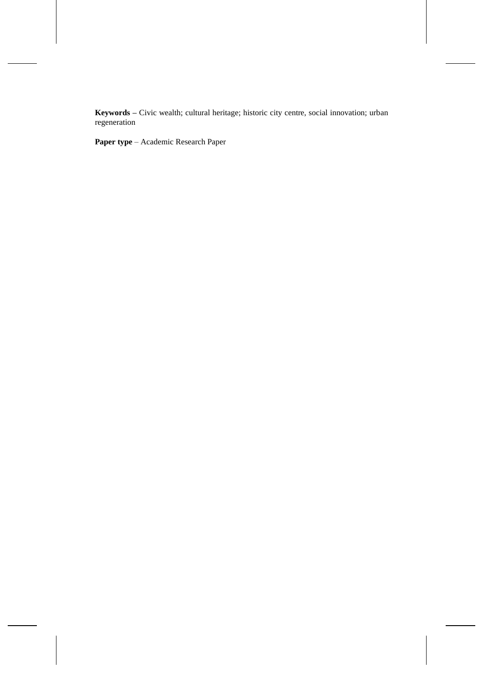**Keywords –** Civic wealth; cultural heritage; historic city centre, social innovation; urban regeneration

**Paper type** – Academic Research Paper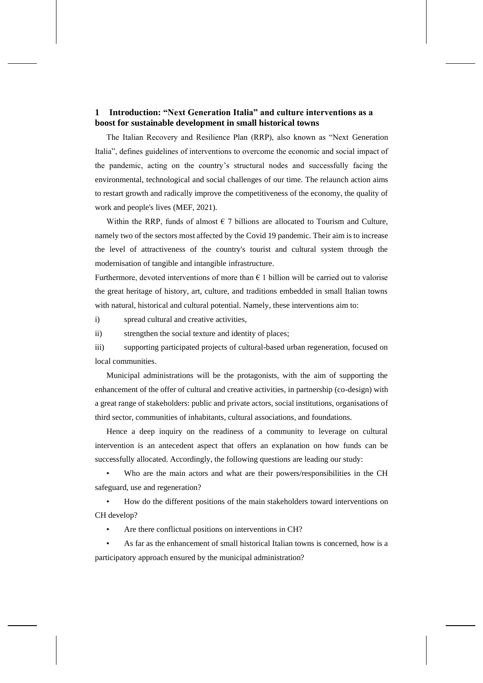## **1 Introduction: "Next Generation Italia" and culture interventions as a boost for sustainable development in small historical towns**

The Italian Recovery and Resilience Plan (RRP), also known as "Next Generation Italia", defines guidelines of interventions to overcome the economic and social impact of the pandemic, acting on the country's structural nodes and successfully facing the environmental, technological and social challenges of our time. The relaunch action aims to restart growth and radically improve the competitiveness of the economy, the quality of work and people's lives (MEF, 2021).

Within the RRP, funds of almost  $\epsilon$  7 billions are allocated to Tourism and Culture, namely two of the sectors most affected by the Covid 19 pandemic. Their aim is to increase the level of attractiveness of the country's tourist and cultural system through the modernisation of tangible and intangible infrastructure.

Furthermore, devoted interventions of more than  $\epsilon$  1 billion will be carried out to valorise the great heritage of history, art, culture, and traditions embedded in small Italian towns with natural, historical and cultural potential. Namely, these interventions aim to:

i) spread cultural and creative activities,

ii) strengthen the social texture and identity of places;

iii) supporting participated projects of cultural-based urban regeneration, focused on local communities.

Municipal administrations will be the protagonists, with the aim of supporting the enhancement of the offer of cultural and creative activities, in partnership (co-design) with a great range of stakeholders: public and private actors, social institutions, organisations of third sector, communities of inhabitants, cultural associations, and foundations.

Hence a deep inquiry on the readiness of a community to leverage on cultural intervention is an antecedent aspect that offers an explanation on how funds can be successfully allocated. Accordingly, the following questions are leading our study:

Who are the main actors and what are their powers/responsibilities in the CH safeguard, use and regeneration?

• How do the different positions of the main stakeholders toward interventions on CH develop?

Are there conflictual positions on interventions in CH?

• As far as the enhancement of small historical Italian towns is concerned, how is a participatory approach ensured by the municipal administration?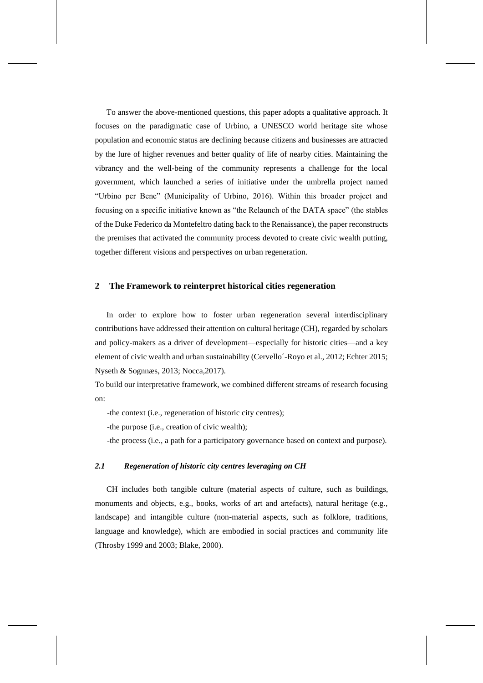To answer the above-mentioned questions, this paper adopts a qualitative approach. It focuses on the paradigmatic case of Urbino, a UNESCO world heritage site whose population and economic status are declining because citizens and businesses are attracted by the lure of higher revenues and better quality of life of nearby cities. Maintaining the vibrancy and the well-being of the community represents a challenge for the local government, which launched a series of initiative under the umbrella project named "Urbino per Bene" (Municipality of Urbino, 2016). Within this broader project and focusing on a specific initiative known as "the Relaunch of the DATA space" (the stables of the Duke Federico da Montefeltro dating back to the Renaissance), the paper reconstructs the premises that activated the community process devoted to create civic wealth putting, together different visions and perspectives on urban regeneration.

## **2 The Framework to reinterpret historical cities regeneration**

In order to explore how to foster urban regeneration several interdisciplinary contributions have addressed their attention on cultural heritage (CH), regarded by scholars and policy-makers as a driver of development—especially for historic cities—and a key element of civic wealth and urban sustainability (Cervello´-Royo et al., 2012; Echter 2015; Nyseth & Sognnæs, 2013; Nocca,2017).

To build our interpretative framework, we combined different streams of research focusing on:

-the context (i.e., regeneration of historic city centres);

-the purpose (i.e., creation of civic wealth);

-the process (i.e., a path for a participatory governance based on context and purpose).

#### *2.1 Regeneration of historic city centres leveraging on CH*

CH includes both tangible culture (material aspects of culture, such as buildings, monuments and objects, e.g., books, works of art and artefacts), natural heritage (e.g., landscape) and intangible culture (non-material aspects, such as folklore, traditions, language and knowledge), which are embodied in social practices and community life (Throsby 1999 and 2003; Blake, 2000).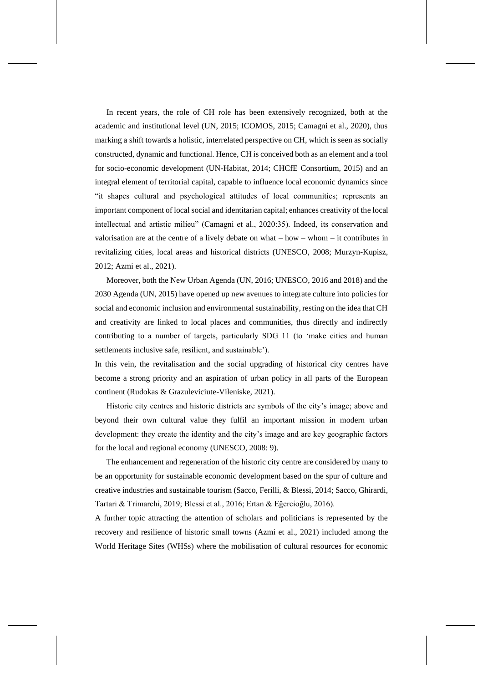In recent years, the role of CH role has been extensively recognized, both at the academic and institutional level (UN, 2015; ICOMOS, 2015; Camagni et al., 2020), thus marking a shift towards a holistic, interrelated perspective on CH, which is seen as socially constructed, dynamic and functional. Hence, CH is conceived both as an element and a tool for socio-economic development (UN-Habitat, 2014; CHCfE Consortium, 2015) and an integral element of territorial capital, capable to influence local economic dynamics since "it shapes cultural and psychological attitudes of local communities; represents an important component of local social and identitarian capital; enhances creativity of the local intellectual and artistic milieu" (Camagni et al., 2020:35). Indeed, its conservation and valorisation are at the centre of a lively debate on what – how – whom – it contributes in revitalizing cities, local areas and historical districts (UNESCO, 2008; Murzyn-Kupisz, 2012; Azmi et al., 2021).

Moreover, both the New Urban Agenda (UN, 2016; UNESCO, 2016 and 2018) and the 2030 Agenda (UN, 2015) have opened up new avenues to integrate culture into policies for social and economic inclusion and environmental sustainability, resting on the idea that CH and creativity are linked to local places and communities, thus directly and indirectly contributing to a number of targets, particularly SDG 11 (to 'make cities and human settlements inclusive safe, resilient, and sustainable').

In this vein, the revitalisation and the social upgrading of historical city centres have become a strong priority and an aspiration of urban policy in all parts of the European continent (Rudokas & Grazuleviciute-Vileniske, 2021).

Historic city centres and historic districts are symbols of the city's image; above and beyond their own cultural value they fulfil an important mission in modern urban development: they create the identity and the city's image and are key geographic factors for the local and regional economy (UNESCO, 2008: 9).

The enhancement and regeneration of the historic city centre are considered by many to be an opportunity for sustainable economic development based on the spur of culture and creative industries and sustainable tourism (Sacco, Ferilli, & Blessi, 2014; Sacco, Ghirardi, Tartari & Trimarchi, 2019; Blessi et al., 2016; Ertan & Eğercioğlu, 2016).

A further topic attracting the attention of scholars and politicians is represented by the recovery and resilience of historic small towns (Azmi et al., 2021) included among the World Heritage Sites (WHSs) where the mobilisation of cultural resources for economic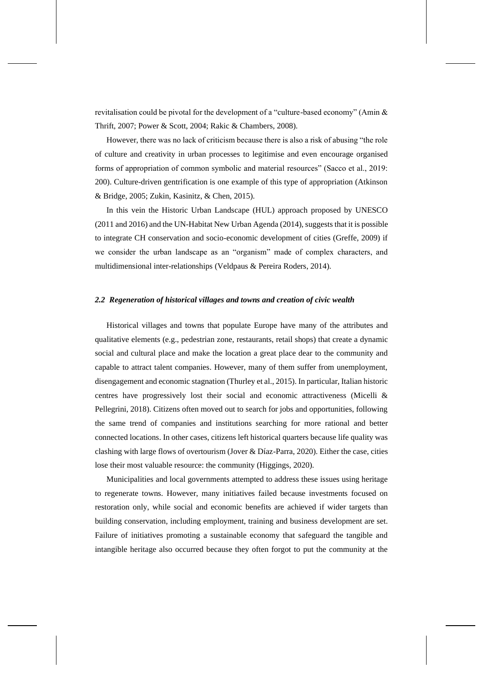revitalisation could be pivotal for the development of a "culture-based economy" (Amin & Thrift, 2007; Power & Scott, 2004; Rakic & Chambers, 2008).

However, there was no lack of criticism because there is also a risk of abusing "the role of culture and creativity in urban processes to legitimise and even encourage organised forms of appropriation of common symbolic and material resources" (Sacco et al., 2019: 200). Culture-driven gentrification is one example of this type of appropriation (Atkinson & Bridge, 2005; Zukin, Kasinitz, & Chen, 2015).

In this vein the Historic Urban Landscape (HUL) approach proposed by UNESCO (2011 and 2016) and the UN-Habitat New Urban Agenda (2014), suggests that it is possible to integrate CH conservation and socio-economic development of cities (Greffe, 2009) if we consider the urban landscape as an "organism" made of complex characters, and multidimensional inter-relationships (Veldpaus & Pereira Roders, 2014).

## *2.2 Regeneration of historical villages and towns and creation of civic wealth*

Historical villages and towns that populate Europe have many of the attributes and qualitative elements (e.g., pedestrian zone, restaurants, retail shops) that create a dynamic social and cultural place and make the location a great place dear to the community and capable to attract talent companies. However, many of them suffer from unemployment, disengagement and economic stagnation (Thurley et al., 2015). In particular, Italian historic centres have progressively lost their social and economic attractiveness (Micelli & Pellegrini, 2018). Citizens often moved out to search for jobs and opportunities, following the same trend of companies and institutions searching for more rational and better connected locations. In other cases, citizens left historical quarters because life quality was clashing with large flows of overtourism (Jover & Díaz-Parra, 2020). Either the case, cities lose their most valuable resource: the community (Higgings, 2020).

Municipalities and local governments attempted to address these issues using heritage to regenerate towns. However, many initiatives failed because investments focused on restoration only, while social and economic benefits are achieved if wider targets than building conservation, including employment, training and business development are set. Failure of initiatives promoting a sustainable economy that safeguard the tangible and intangible heritage also occurred because they often forgot to put the community at the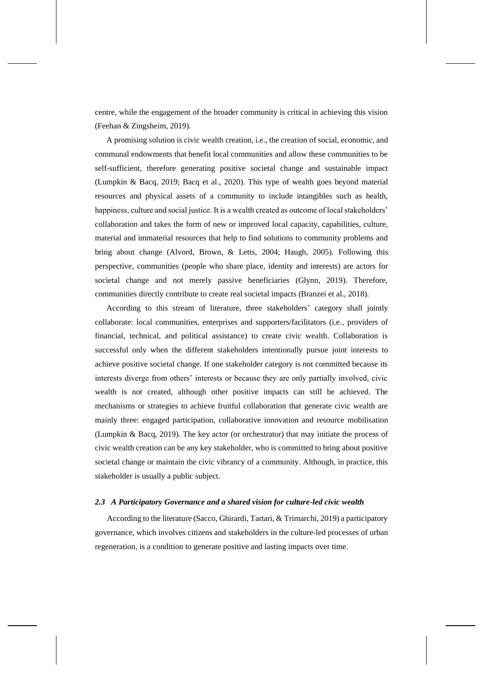centre, while the engagement of the broader community is critical in achieving this vision (Feehan & Zingsheim, 2019).

A promising solution is civic wealth creation, i.e., the creation of social, economic, and communal endowments that benefit local communities and allow these communities to be self-sufficient, therefore generating positive societal change and sustainable impact (Lumpkin & Bacq, 2019; Bacq et al., 2020). This type of wealth goes beyond material resources and physical assets of a community to include intangibles such as health, happiness, culture and social justice. It is a wealth created as outcome of local stakeholders' collaboration and takes the form of new or improved local capacity, capabilities, culture, material and immaterial resources that help to find solutions to community problems and bring about change (Alvord, Brown, & Letts, 2004; Haugh, 2005). Following this perspective, communities (people who share place, identity and interests) are actors for societal change and not merely passive beneficiaries (Glynn, 2019). Therefore, communities directly contribute to create real societal impacts (Branzei et al., 2018).

According to this stream of literature, three stakeholders' category shall jointly collaborate: local communities, enterprises and supporters/facilitators (i.e., providers of financial, technical, and political assistance) to create civic wealth. Collaboration is successful only when the different stakeholders intentionally pursue joint interests to achieve positive societal change. If one stakeholder category is not committed because its interests diverge from others' interests or because they are only partially involved, civic wealth is not created, although other positive impacts can still be achieved. The mechanisms or strategies to achieve fruitful collaboration that generate civic wealth are mainly three: engaged participation, collaborative innovation and resource mobilisation (Lumpkin & Bacq, 2019). The key actor (or orchestrator) that may initiate the process of civic wealth creation can be any key stakeholder, who is committed to bring about positive societal change or maintain the civic vibrancy of a community. Although, in practice, this stakeholder is usually a public subject.

## *2.3 A Participatory Governance and a shared vision for culture-led civic wealth*

According to the literature (Sacco, Ghirardi, Tartari, & Trimarchi, 2019) a participatory governance, which involves citizens and stakeholders in the culture-led processes of urban regeneration, is a condition to generate positive and lasting impacts over time.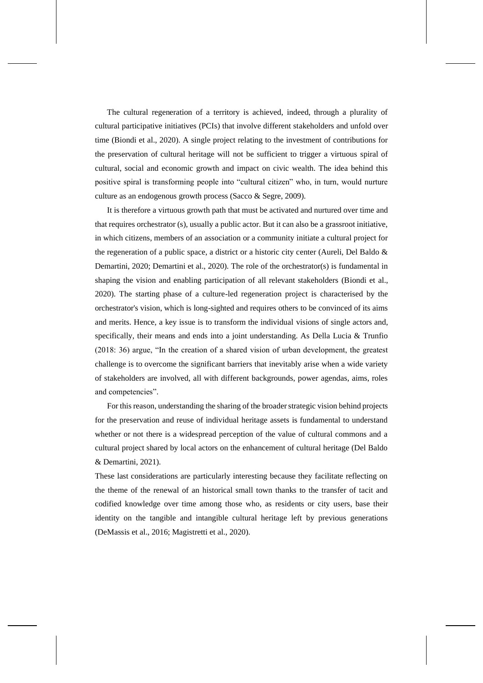The cultural regeneration of a territory is achieved, indeed, through a plurality of cultural participative initiatives (PCIs) that involve different stakeholders and unfold over time (Biondi et al., 2020). A single project relating to the investment of contributions for the preservation of cultural heritage will not be sufficient to trigger a virtuous spiral of cultural, social and economic growth and impact on civic wealth. The idea behind this positive spiral is transforming people into "cultural citizen" who, in turn, would nurture culture as an endogenous growth process (Sacco & Segre, 2009).

It is therefore a virtuous growth path that must be activated and nurtured over time and that requires orchestrator (s), usually a public actor. But it can also be a grassroot initiative, in which citizens, members of an association or a community initiate a cultural project for the regeneration of a public space, a district or a historic city center (Aureli, Del Baldo & Demartini, 2020; Demartini et al., 2020). The role of the orchestrator(s) is fundamental in shaping the vision and enabling participation of all relevant stakeholders (Biondi et al., 2020). The starting phase of a culture-led regeneration project is characterised by the orchestrator's vision, which is long-sighted and requires others to be convinced of its aims and merits. Hence, a key issue is to transform the individual visions of single actors and, specifically, their means and ends into a joint understanding. As Della Lucia & Trunfio (2018: 36) argue, "In the creation of a shared vision of urban development, the greatest challenge is to overcome the significant barriers that inevitably arise when a wide variety of stakeholders are involved, all with different backgrounds, power agendas, aims, roles and competencies".

For this reason, understanding the sharing of the broader strategic vision behind projects for the preservation and reuse of individual heritage assets is fundamental to understand whether or not there is a widespread perception of the value of cultural commons and a cultural project shared by local actors on the enhancement of cultural heritage (Del Baldo & Demartini, 2021).

These last considerations are particularly interesting because they facilitate reflecting on the theme of the renewal of an historical small town thanks to the transfer of tacit and codified knowledge over time among those who, as residents or city users, base their identity on the tangible and intangible cultural heritage left by previous generations (DeMassis et al., 2016; Magistretti et al., 2020).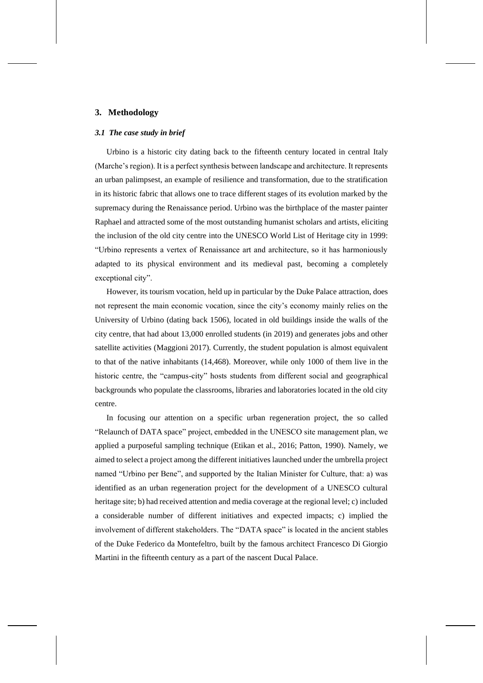## **3. Methodology**

## *3.1 The case study in brief*

Urbino is a historic city dating back to the fifteenth century located in central Italy (Marche's region). It is a perfect synthesis between landscape and architecture. It represents an urban palimpsest, an example of resilience and transformation, due to the stratification in its historic fabric that allows one to trace different stages of its evolution marked by the supremacy during the Renaissance period. Urbino was the birthplace of the master painter Raphael and attracted some of the most outstanding humanist scholars and artists, eliciting the inclusion of the old city centre into the UNESCO World List of Heritage city in 1999: "Urbino represents a vertex of Renaissance art and architecture, so it has harmoniously adapted to its physical environment and its medieval past, becoming a completely exceptional city".

However, its tourism vocation, held up in particular by the Duke Palace attraction, does not represent the main economic vocation, since the city's economy mainly relies on the University of Urbino (dating back 1506), located in old buildings inside the walls of the city centre, that had about 13,000 enrolled students (in 2019) and generates jobs and other satellite activities (Maggioni 2017). Currently, the student population is almost equivalent to that of the native inhabitants (14,468). Moreover, while only 1000 of them live in the historic centre, the "campus-city" hosts students from different social and geographical backgrounds who populate the classrooms, libraries and laboratories located in the old city centre.

In focusing our attention on a specific urban regeneration project, the so called "Relaunch of DATA space" project, embedded in the UNESCO site management plan, we applied a purposeful sampling technique (Etikan et al., 2016; Patton, 1990). Namely, we aimed to select a project among the different initiatives launched under the umbrella project named "Urbino per Bene", and supported by the Italian Minister for Culture, that: a) was identified as an urban regeneration project for the development of a UNESCO cultural heritage site; b) had received attention and media coverage at the regional level; c) included a considerable number of different initiatives and expected impacts; c) implied the involvement of different stakeholders. The "DATA space" is located in the ancient stables of the Duke Federico da Montefeltro, built by the famous architect Francesco Di Giorgio Martini in the fifteenth century as a part of the nascent Ducal Palace.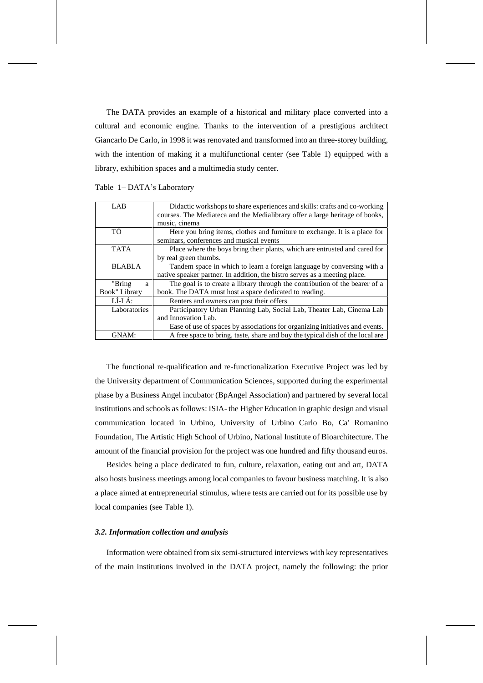The DATA provides an example of a historical and military place converted into a cultural and economic engine. Thanks to the intervention of a prestigious architect Giancarlo De Carlo, in 1998 it was renovated and transformed into an three-storey building, with the intention of making it a multifunctional center (see Table 1) equipped with a library, exhibition spaces and a multimedia study center.

| LAB           | Didactic workshops to share experiences and skills: crafts and co-working     |
|---------------|-------------------------------------------------------------------------------|
|               | courses. The Mediateca and the Medialibrary offer a large heritage of books,  |
|               | music, cinema                                                                 |
| TÓ            | Here you bring items, clothes and furniture to exchange. It is a place for    |
|               | seminars, conferences and musical events                                      |
| <b>TATA</b>   | Place where the boys bring their plants, which are entrusted and cared for    |
|               | by real green thumbs.                                                         |
| <b>BLABLA</b> | Tandem space in which to learn a foreign language by conversing with a        |
|               | native speaker partner. In addition, the bistro serves as a meeting place.    |
| "Bring<br>a   | The goal is to create a library through the contribution of the bearer of a   |
| Book" Library | book. The DATA must host a space dedicated to reading.                        |
| $LÍ-LÁ:$      | Renters and owners can post their offers                                      |
| Laboratories  | Participatory Urban Planning Lab, Social Lab, Theater Lab, Cinema Lab         |
|               | and Innovation Lab.                                                           |
|               | Ease of use of spaces by associations for organizing initiatives and events.  |
| GNAM:         | A free space to bring, taste, share and buy the typical dish of the local are |

Table 1– DATA's Laboratory

The functional re-qualification and re-functionalization Executive Project was led by the University department of Communication Sciences, supported during the experimental phase by a Business Angel incubator (BpAngel Association) and partnered by several local institutions and schools as follows: ISIA- the Higher Education in graphic design and visual communication located in Urbino, University of Urbino Carlo Bo, Ca' Romanino Foundation, The Artistic High School of Urbino, National Institute of Bioarchitecture. The amount of the financial provision for the project was one hundred and fifty thousand euros.

Besides being a place dedicated to fun, culture, relaxation, eating out and art, DATA also hosts business meetings among local companies to favour business matching. It is also a place aimed at entrepreneurial stimulus, where tests are carried out for its possible use by local companies (see Table 1).

#### *3.2. Information collection and analysis*

Information were obtained from six semi-structured interviews with key representatives of the main institutions involved in the DATA project, namely the following: the prior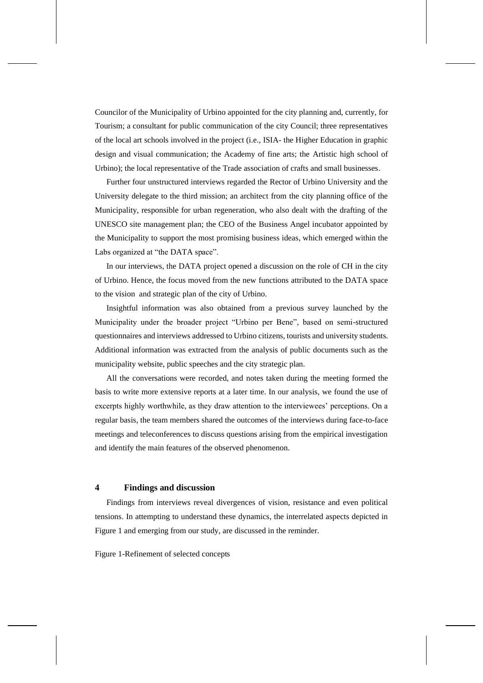Councilor of the Municipality of Urbino appointed for the city planning and, currently, for Tourism; a consultant for public communication of the city Council; three representatives of the local art schools involved in the project (i.e., ISIA- the Higher Education in graphic design and visual communication; the Academy of fine arts; the Artistic high school of Urbino); the local representative of the Trade association of crafts and small businesses.

Further four unstructured interviews regarded the Rector of Urbino University and the University delegate to the third mission; an architect from the city planning office of the Municipality, responsible for urban regeneration, who also dealt with the drafting of the UNESCO site management plan; the CEO of the Business Angel incubator appointed by the Municipality to support the most promising business ideas, which emerged within the Labs organized at "the DATA space".

In our interviews, the DATA project opened a discussion on the role of CH in the city of Urbino. Hence, the focus moved from the new functions attributed to the DATA space to the vision and strategic plan of the city of Urbino.

Insightful information was also obtained from a previous survey launched by the Municipality under the broader project "Urbino per Bene", based on semi-structured questionnaires and interviews addressed to Urbino citizens, tourists and university students. Additional information was extracted from the analysis of public documents such as the municipality website, public speeches and the city strategic plan.

All the conversations were recorded, and notes taken during the meeting formed the basis to write more extensive reports at a later time. In our analysis, we found the use of excerpts highly worthwhile, as they draw attention to the interviewees' perceptions. On a regular basis, the team members shared the outcomes of the interviews during face-to-face meetings and teleconferences to discuss questions arising from the empirical investigation and identify the main features of the observed phenomenon.

## **4 Findings and discussion**

Findings from interviews reveal divergences of vision, resistance and even political tensions. In attempting to understand these dynamics, the interrelated aspects depicted in Figure 1 and emerging from our study, are discussed in the reminder.

Figure 1-Refinement of selected concepts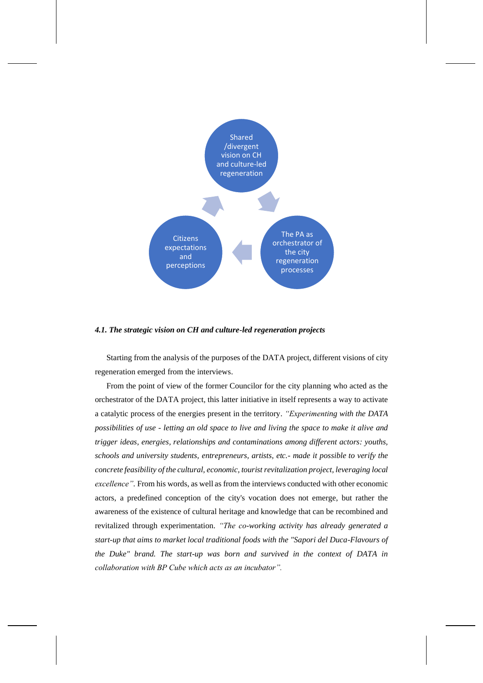

#### *4.1. The strategic vision on CH and culture-led regeneration projects*

Starting from the analysis of the purposes of the DATA project, different visions of city regeneration emerged from the interviews.

From the point of view of the former Councilor for the city planning who acted as the orchestrator of the DATA project, this latter initiative in itself represents a way to activate a catalytic process of the energies present in the territory. *"Experimenting with the DATA possibilities of use - letting an old space to live and living the space to make it alive and trigger ideas, energies, relationships and contaminations among different actors: youths, schools and university students, entrepreneurs, artists, etc.- made it possible to verify the concrete feasibility of the cultural, economic, tourist revitalization project, leveraging local excellence".* From his words, as well as from the interviews conducted with other economic actors, a predefined conception of the city's vocation does not emerge, but rather the awareness of the existence of cultural heritage and knowledge that can be recombined and revitalized through experimentation. *"The co-working activity has already generated a start-up that aims to market local traditional foods with the "Sapori del Duca-Flavours of the Duke" brand. The start-up was born and survived in the context of DATA in collaboration with BP Cube which acts as an incubator".*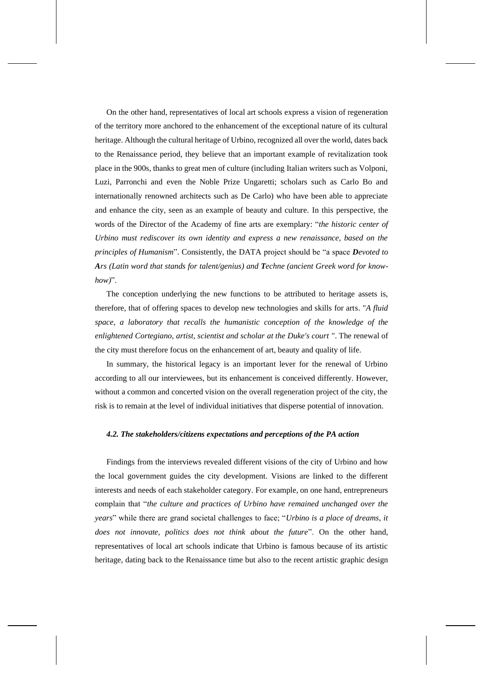On the other hand, representatives of local art schools express a vision of regeneration of the territory more anchored to the enhancement of the exceptional nature of its cultural heritage. Although the cultural heritage of Urbino, recognized all over the world, dates back to the Renaissance period, they believe that an important example of revitalization took place in the 900s, thanks to great men of culture (including Italian writers such as Volponi, Luzi, Parronchi and even the Noble Prize Ungaretti; scholars such as Carlo Bo and internationally renowned architects such as De Carlo) who have been able to appreciate and enhance the city, seen as an example of beauty and culture. In this perspective, the words of the Director of the Academy of fine arts are exemplary: "*the historic center of Urbino must rediscover its own identity and express a new renaissance, based on the principles of Humanism*". Consistently, the DATA project should be "a space *Devoted to Ars (Latin word that stands for talent/genius) and Techne (ancient Greek word for knowhow)*".

The conception underlying the new functions to be attributed to heritage assets is, therefore, that of offering spaces to develop new technologies and skills for arts. "*A fluid space, a laboratory that recalls the humanistic conception of the knowledge of the enlightened Cortegiano, artist, scientist and scholar at the Duke's court "*. The renewal of the city must therefore focus on the enhancement of art, beauty and quality of life.

In summary, the historical legacy is an important lever for the renewal of Urbino according to all our interviewees, but its enhancement is conceived differently. However, without a common and concerted vision on the overall regeneration project of the city, the risk is to remain at the level of individual initiatives that disperse potential of innovation.

#### *4.2. The stakeholders/citizens expectations and perceptions of the PA action*

Findings from the interviews revealed different visions of the city of Urbino and how the local government guides the city development. Visions are linked to the different interests and needs of each stakeholder category. For example, on one hand, entrepreneurs complain that "*the culture and practices of Urbino have remained unchanged over the years*" while there are grand societal challenges to face; "*Urbino is a place of dreams, it does not innovate, politics does not think about the future*". On the other hand, representatives of local art schools indicate that Urbino is famous because of its artistic heritage, dating back to the Renaissance time but also to the recent artistic graphic design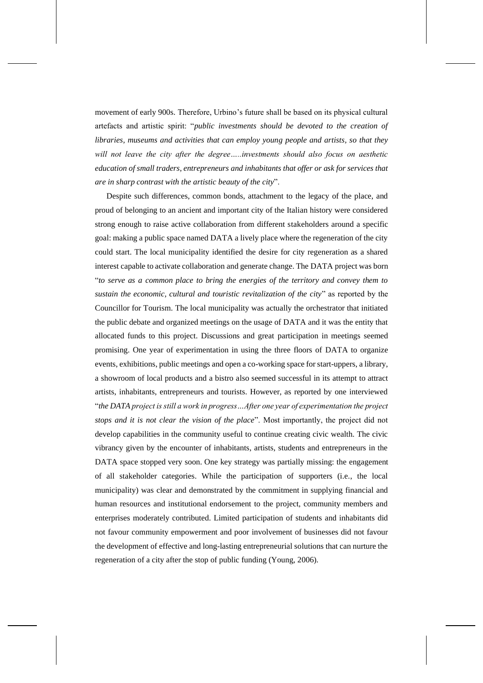movement of early 900s. Therefore, Urbino's future shall be based on its physical cultural artefacts and artistic spirit: "*public investments should be devoted to the creation of libraries, museums and activities that can employ young people and artists, so that they*  will not leave the city after the degree.....investments should also focus on aesthetic *education of small traders, entrepreneurs and inhabitants that offer or ask for services that are in sharp contrast with the artistic beauty of the city*".

Despite such differences, common bonds, attachment to the legacy of the place, and proud of belonging to an ancient and important city of the Italian history were considered strong enough to raise active collaboration from different stakeholders around a specific goal: making a public space named DATA a lively place where the regeneration of the city could start. The local municipality identified the desire for city regeneration as a shared interest capable to activate collaboration and generate change. The DATA project was born "*to serve as a common place to bring the energies of the territory and convey them to sustain the economic, cultural and touristic revitalization of the city*" as reported by the Councillor for Tourism. The local municipality was actually the orchestrator that initiated the public debate and organized meetings on the usage of DATA and it was the entity that allocated funds to this project. Discussions and great participation in meetings seemed promising. One year of experimentation in using the three floors of DATA to organize events, exhibitions, public meetings and open a co-working space for start-uppers, a library, a showroom of local products and a bistro also seemed successful in its attempt to attract artists, inhabitants, entrepreneurs and tourists. However, as reported by one interviewed "*the DATA project is still a work in progress…After one year of experimentation the project stops and it is not clear the vision of the place*". Most importantly, the project did not develop capabilities in the community useful to continue creating civic wealth. The civic vibrancy given by the encounter of inhabitants, artists, students and entrepreneurs in the DATA space stopped very soon. One key strategy was partially missing: the engagement of all stakeholder categories. While the participation of supporters (i.e., the local municipality) was clear and demonstrated by the commitment in supplying financial and human resources and institutional endorsement to the project, community members and enterprises moderately contributed. Limited participation of students and inhabitants did not favour community empowerment and poor involvement of businesses did not favour the development of effective and long-lasting entrepreneurial solutions that can nurture the regeneration of a city after the stop of public funding (Young, 2006).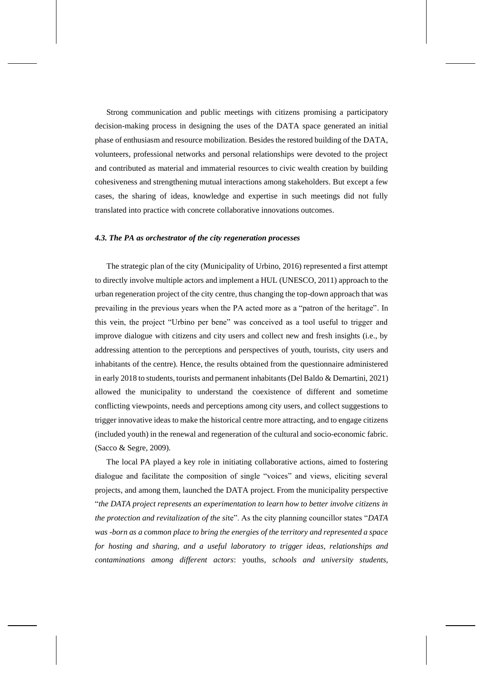Strong communication and public meetings with citizens promising a participatory decision-making process in designing the uses of the DATA space generated an initial phase of enthusiasm and resource mobilization. Besides the restored building of the DATA, volunteers, professional networks and personal relationships were devoted to the project and contributed as material and immaterial resources to civic wealth creation by building cohesiveness and strengthening mutual interactions among stakeholders. But except a few cases, the sharing of ideas, knowledge and expertise in such meetings did not fully translated into practice with concrete collaborative innovations outcomes.

## *4.3. The PA as orchestrator of the city regeneration processes*

The strategic plan of the city (Municipality of Urbino, 2016) represented a first attempt to directly involve multiple actors and implement a HUL (UNESCO, 2011) approach to the urban regeneration project of the city centre, thus changing the top-down approach that was prevailing in the previous years when the PA acted more as a "patron of the heritage". In this vein, the project "Urbino per bene" was conceived as a tool useful to trigger and improve dialogue with citizens and city users and collect new and fresh insights (i.e., by addressing attention to the perceptions and perspectives of youth, tourists, city users and inhabitants of the centre). Hence, the results obtained from the questionnaire administered in early 2018 to students, tourists and permanent inhabitants (Del Baldo & Demartini, 2021) allowed the municipality to understand the coexistence of different and sometime conflicting viewpoints, needs and perceptions among city users, and collect suggestions to trigger innovative ideas to make the historical centre more attracting, and to engage citizens (included youth) in the renewal and regeneration of the cultural and socio-economic fabric. (Sacco & Segre, 2009).

The local PA played a key role in initiating collaborative actions, aimed to fostering dialogue and facilitate the composition of single "voices" and views, eliciting several projects, and among them, launched the DATA project. From the municipality perspective "*the DATA project represents an experimentation to learn how to better involve citizens in the protection and revitalization of the si*te". As the city planning councillor states "*DATA was -born as a common place to bring the energies of the territory and represented a space for hosting and sharing, and a useful laboratory to trigger ideas, relationships and contaminations among different actors*: youths, *schools and university students,*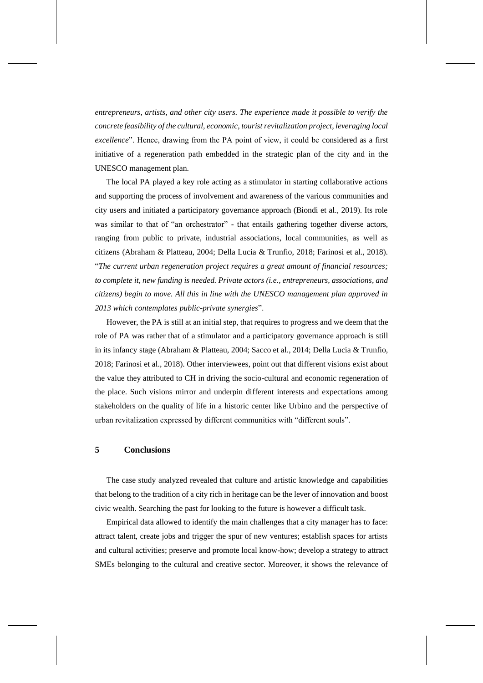*entrepreneurs, artists, and other city users. The experience made it possible to verify the concrete feasibility of the cultural, economic, tourist revitalization project, leveraging local excellence*". Hence, drawing from the PA point of view, it could be considered as a first initiative of a regeneration path embedded in the strategic plan of the city and in the UNESCO management plan.

The local PA played a key role acting as a stimulator in starting collaborative actions and supporting the process of involvement and awareness of the various communities and city users and initiated a participatory governance approach (Biondi et al., 2019). Its role was similar to that of "an orchestrator" - that entails gathering together diverse actors, ranging from public to private, industrial associations, local communities, as well as citizens (Abraham & Platteau, 2004; Della Lucia & Trunfio, 2018; Farinosi et al., 2018). "*The current urban regeneration project requires a great amount of financial resources; to complete it, new funding is needed. Private actors (i.e., entrepreneurs, associations, and citizens) begin to move. All this in line with the UNESCO management plan approved in 2013 which contemplates public-private synergies*".

However, the PA is still at an initial step, that requires to progress and we deem that the role of PA was rather that of a stimulator and a participatory governance approach is still in its infancy stage (Abraham & Platteau, 2004; Sacco et al., 2014; Della Lucia & Trunfio, 2018; Farinosi et al., 2018). Other interviewees, point out that different visions exist about the value they attributed to CH in driving the socio-cultural and economic regeneration of the place. Such visions mirror and underpin different interests and expectations among stakeholders on the quality of life in a historic center like Urbino and the perspective of urban revitalization expressed by different communities with "different souls".

## **5 Conclusions**

The case study analyzed revealed that culture and artistic knowledge and capabilities that belong to the tradition of a city rich in heritage can be the lever of innovation and boost civic wealth. Searching the past for looking to the future is however a difficult task.

Empirical data allowed to identify the main challenges that a city manager has to face: attract talent, create jobs and trigger the spur of new ventures; establish spaces for artists and cultural activities; preserve and promote local know-how; develop a strategy to attract SMEs belonging to the cultural and creative sector. Moreover, it shows the relevance of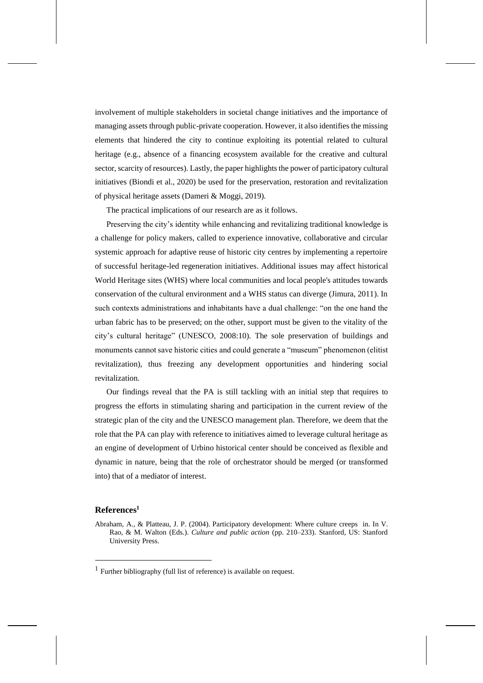involvement of multiple stakeholders in societal change initiatives and the importance of managing assets through public-private cooperation. However, it also identifies the missing elements that hindered the city to continue exploiting its potential related to cultural heritage (e.g., absence of a financing ecosystem available for the creative and cultural sector, scarcity of resources). Lastly, the paper highlights the power of participatory cultural initiatives (Biondi et al., 2020) be used for the preservation, restoration and revitalization of physical heritage assets (Dameri & Moggi, 2019).

The practical implications of our research are as it follows.

Preserving the city's identity while enhancing and revitalizing traditional knowledge is a challenge for policy makers, called to experience innovative, collaborative and circular systemic approach for adaptive reuse of historic city centres by implementing a repertoire of successful heritage-led regeneration initiatives. Additional issues may affect historical World Heritage sites (WHS) where local communities and local people's attitudes towards conservation of the cultural environment and a WHS status can diverge (Jimura, 2011). In such contexts administrations and inhabitants have a dual challenge: "on the one hand the urban fabric has to be preserved; on the other, support must be given to the vitality of the city's cultural heritage" (UNESCO, 2008:10). The sole preservation of buildings and monuments cannot save historic cities and could generate a "museum" phenomenon (elitist revitalization), thus freezing any development opportunities and hindering social revitalization.

Our findings reveal that the PA is still tackling with an initial step that requires to progress the efforts in stimulating sharing and participation in the current review of the strategic plan of the city and the UNESCO management plan. Therefore, we deem that the role that the PA can play with reference to initiatives aimed to leverage cultural heritage as an engine of development of Urbino historical center should be conceived as flexible and dynamic in nature, being that the role of orchestrator should be merged (or transformed into) that of a mediator of interest.

## **References<sup>1</sup>**

Abraham, A., & Platteau, J. P. (2004). Participatory development: Where culture creeps in. In V. Rao, & M. Walton (Eds.). *Culture and public action* (pp. 210–233). Stanford, US: Stanford University Press.

<sup>&</sup>lt;sup>1</sup> Further bibliography (full list of reference) is available on request.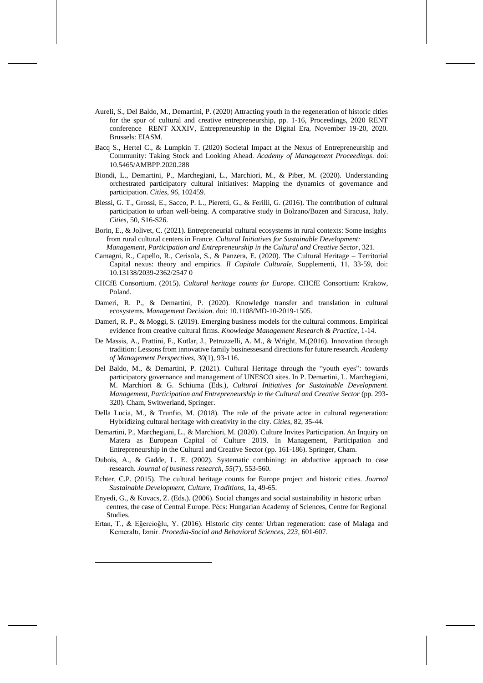- Aureli, S., Del Baldo, M., Demartini, P. (2020) Attracting youth in the regeneration of historic cities for the spur of cultural and creative entrepreneurship, pp. 1-16, Proceedings, 2020 RENT conference RENT XXXIV, Entrepreneurship in the Digital Era, November 19-20, 2020. Brussels: EIASM.
- Bacq S., Hertel C., & Lumpkin T. (2020) Societal Impact at the Nexus of Entrepreneurship and Community: Taking Stock and Looking Ahead. *Academy of Management Proceedings*. doi: 10.5465/AMBPP.2020.288
- Biondi, L., Demartini, P., Marchegiani, L., Marchiori, M., & Piber, M. (2020). Understanding orchestrated participatory cultural initiatives: Mapping the dynamics of governance and participation. *Cities*, *96*, 102459.
- Blessi, G. T., Grossi, E., Sacco, P. L., Pieretti, G., & Ferilli, G. (2016). The contribution of cultural participation to urban well-being. A comparative study in Bolzano/Bozen and Siracusa, Italy. *Cities*, 50, S16-S26.
- Borin, E., & Jolivet, C. (2021). Entrepreneurial cultural ecosystems in rural contexts: Some insights from rural cultural centers in France. *Cultural Initiatives for Sustainable Development: Management, Participation and Entrepreneurship in the Cultural and Creative Sector*, 321.
- Camagni, R., Capello, R., Cerisola, S., & Panzera, E. (2020). The Cultural Heritage Territorial Capital nexus: theory and empirics. *Il Capitale Culturale*, Supplementi, 11, 33-59, doi: 10.13138/2039-2362/2547 0
- CHCfE Consortium. (2015). *Cultural heritage counts for Europe*. CHCfE Consortium: Krakow, Poland.
- Dameri, R. P., & Demartini, P. (2020). Knowledge transfer and translation in cultural ecosystems. *Management Decision*. doi: 10.1108/MD-10-2019-1505.
- Dameri, R. P., & Moggi, S. (2019). Emerging business models for the cultural commons. Empirical evidence from creative cultural firms. *Knowledge Management Research & Practice*, 1-14.
- De Massis, A., Frattini, F., Kotlar, J., Petruzzelli, A. M., & Wright, M.(2016). Innovation through tradition: Lessons from innovative family businessesand directions for future research. *Academy of Management Perspectives*, *30*(1), 93-116.
- Del Baldo, M., & Demartini, P. (2021). Cultural Heritage through the "youth eyes": towards participatory governance and management of UNESCO sites. In P. Demartini, L. Marchegiani, M. Marchiori & G. Schiuma (Eds.), *Cultural Initiatives for Sustainable Development. Management, Participation and Entrepreneurship in the Cultural and Creative Sector* (pp. 293- 320). Cham, Switwerland, Springer.
- Della Lucia, M., & Trunfio, M. (2018). The role of the private actor in cultural regeneration: Hybridizing cultural heritage with creativity in the city. *Cities*, 82, 35-44.
- Demartini, P., Marchegiani, L., & Marchiori, M. (2020). Culture Invites Participation. An Inquiry on Matera as European Capital of Culture 2019. In Management, Participation and Entrepreneurship in the Cultural and Creative Sector (pp. 161-186). Springer, Cham.
- Dubois, A., & Gadde, L. E. (2002). Systematic combining: an abductive approach to case research. *Journal of business research*, *55*(7), 553-560.
- Echter, C.P. (2015). The cultural heritage counts for Europe project and historic cities. *Journal Sustainable Development, Culture, Traditions*, 1a, 49-65.
- Enyedi, G., & Kovacs, Z. (Eds.). (2006). Social changes and social sustainability in historic urban centres, the case of Central Europe. Pécs: Hungarian Academy of Sciences, Centre for Regional Studies.
- Ertan, T., & Eğercioğlu, Y. (2016). Historic city center Urban regeneration: case of Malaga and Kemeraltı, Izmir. *Procedia-Social and Behavioral Sciences*, *223*, 601-607.